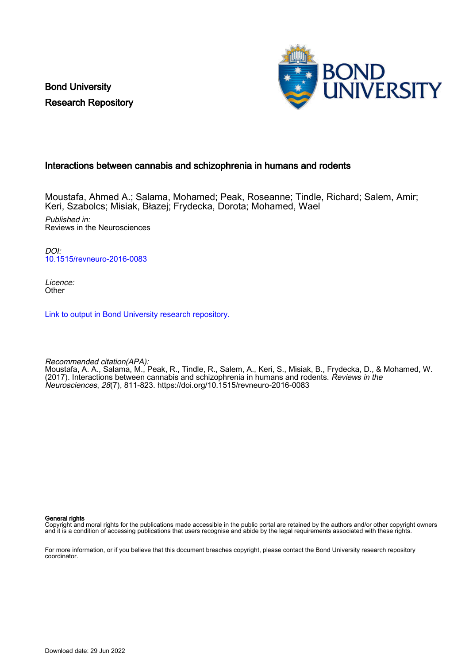Bond University Research Repository



#### Interactions between cannabis and schizophrenia in humans and rodents

Moustafa, Ahmed A.; Salama, Mohamed; Peak, Roseanne; Tindle, Richard; Salem, Amir; Keri, Szabolcs; Misiak, Błazej; Frydecka, Dorota; Mohamed, Wael

Published in: Reviews in the Neurosciences

DOI: [10.1515/revneuro-2016-0083](https://doi.org/10.1515/revneuro-2016-0083)

Licence: **Other** 

[Link to output in Bond University research repository.](https://research.bond.edu.au/en/publications/93dcb1be-1952-4bf7-9ca2-0887589f44f3)

Recommended citation(APA): Moustafa, A. A., Salama, M., Peak, R., Tindle, R., Salem, A., Keri, S., Misiak, B., Frydecka, D., & Mohamed, W. (2017). Interactions between cannabis and schizophrenia in humans and rodents. Reviews in the Neurosciences, 28(7), 811-823. <https://doi.org/10.1515/revneuro-2016-0083>

General rights

Copyright and moral rights for the publications made accessible in the public portal are retained by the authors and/or other copyright owners and it is a condition of accessing publications that users recognise and abide by the legal requirements associated with these rights.

For more information, or if you believe that this document breaches copyright, please contact the Bond University research repository coordinator.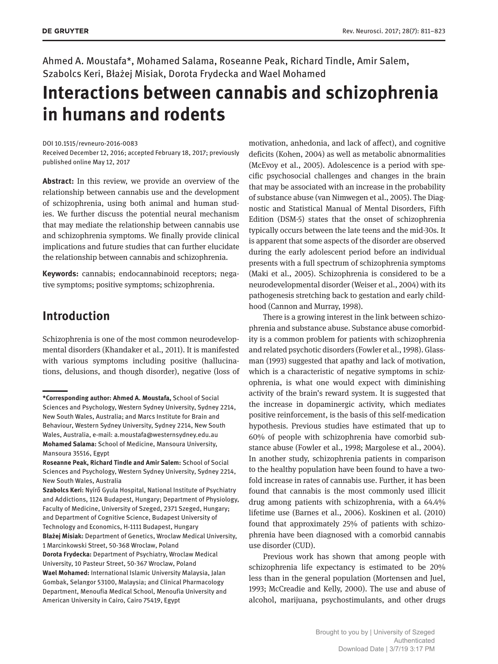Ahmed A. Moustafa\*, Mohamed Salama, Roseanne Peak, Richard Tindle, Amir Salem, Szabolcs Keri, Błażej Misiak, Dorota Frydecka and Wael Mohamed

# **Interactions between cannabis and schizophrenia in humans and rodents**

DOI 10.1515/revneuro-2016-0083

Received December 12, 2016; accepted February 18, 2017; previously published online May 12, 2017

**Abstract:** In this review, we provide an overview of the relationship between cannabis use and the development of schizophrenia, using both animal and human studies. We further discuss the potential neural mechanism that may mediate the relationship between cannabis use and schizophrenia symptoms. We finally provide clinical implications and future studies that can further elucidate the relationship between cannabis and schizophrenia.

**Keywords:** cannabis; endocannabinoid receptors; negative symptoms; positive symptoms; schizophrenia.

### **Introduction**

Schizophrenia is one of the most common neurodevelopmental disorders (Khandaker et al., 2011). It is manifested with various symptoms including positive (hallucinations, delusions, and though disorder), negative (loss of motivation, anhedonia, and lack of affect), and cognitive deficits (Kohen, 2004) as well as metabolic abnormalities (McEvoy et al., 2005). Adolescence is a period with specific psychosocial challenges and changes in the brain that may be associated with an increase in the probability of substance abuse (van Nimwegen et al., 2005). The Diagnostic and Statistical Manual of Mental Disorders, Fifth Edition (DSM-5) states that the onset of schizophrenia typically occurs between the late teens and the mid-30s. It is apparent that some aspects of the disorder are observed during the early adolescent period before an individual presents with a full spectrum of schizophrenia symptoms (Maki et al., 2005). Schizophrenia is considered to be a neurodevelopmental disorder (Weiser et al., 2004) with its pathogenesis stretching back to gestation and early childhood (Cannon and Murray, 1998).

There is a growing interest in the link between schizophrenia and substance abuse. Substance abuse comorbidity is a common problem for patients with schizophrenia and related psychotic disorders (Fowler et al., 1998). Glassman (1993) suggested that apathy and lack of motivation, which is a characteristic of negative symptoms in schizophrenia, is what one would expect with diminishing activity of the brain's reward system. It is suggested that the increase in dopaminergic activity, which mediates positive reinforcement, is the basis of this self-medication hypothesis. Previous studies have estimated that up to 60% of people with schizophrenia have comorbid substance abuse (Fowler et al., 1998; Margolese et al., 2004). In another study, schizophrenia patients in comparison to the healthy population have been found to have a twofold increase in rates of cannabis use. Further, it has been found that cannabis is the most commonly used illicit drug among patients with schizophrenia, with a 64.4% lifetime use (Barnes et al., 2006). Koskinen et al. (2010) found that approximately 25% of patients with schizophrenia have been diagnosed with a comorbid cannabis use disorder (CUD).

Previous work has shown that among people with schizophrenia life expectancy is estimated to be 20% less than in the general population (Mortensen and Juel, 1993; McCreadie and Kelly, 2000). The use and abuse of alcohol, marijuana, psychostimulants, and other drugs

**<sup>\*</sup>Corresponding author: Ahmed A. Moustafa,** School of Social Sciences and Psychology, Western Sydney University, Sydney 2214, New South Wales, Australia; and Marcs Institute for Brain and Behaviour, Western Sydney University, Sydney 2214, New South Wales, Australia, e-mail: [a.moustafa@westernsydney.edu.au](mailto:a.moustafa@westernsydney.edu.au) **Mohamed Salama:** School of Medicine, Mansoura University, Mansoura 35516, Egypt

**Roseanne Peak, Richard Tindle and Amir Salem:** School of Social Sciences and Psychology, Western Sydney University, Sydney 2214, New South Wales, Australia

**Szabolcs Keri:** Nyírő Gyula Hospital, National Institute of Psychiatry and Addictions, 1124 Budapest, Hungary; Department of Physiology, Faculty of Medicine, University of Szeged, 2371 Szeged, Hungary; and Department of Cognitive Science, Budapest University of Technology and Economics, H-1111 Budapest, Hungary **Błażej Misiak:** Department of Genetics, Wroclaw Medical University, 1 Marcinkowski Street, 50-368 Wroclaw, Poland **Dorota Frydecka:** Department of Psychiatry, Wroclaw Medical University, 10 Pasteur Street, 50-367 Wroclaw, Poland **Wael Mohamed:** International Islamic University Malaysia, Jalan Gombak, Selangor 53100, Malaysia; and Clinical Pharmacology Department, Menoufia Medical School, Menoufia University and American University in Cairo, Cairo 75419, Egypt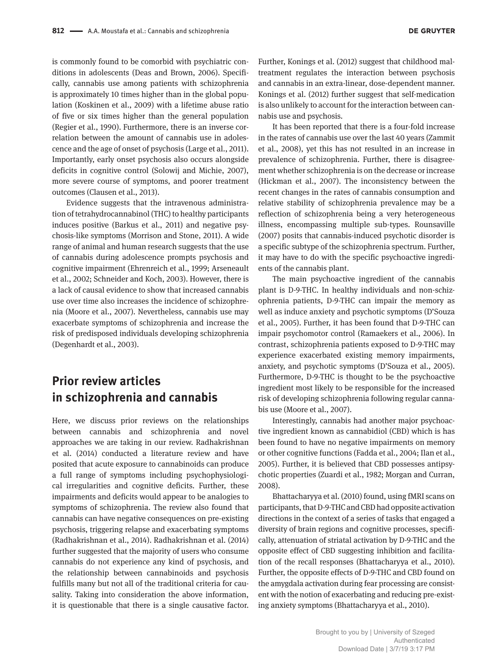is commonly found to be comorbid with psychiatric conditions in adolescents (Deas and Brown, 2006). Specifically, cannabis use among patients with schizophrenia is approximately 10 times higher than in the global population (Koskinen et al., 2009) with a lifetime abuse ratio of five or six times higher than the general population (Regier et al., 1990). Furthermore, there is an inverse correlation between the amount of cannabis use in adolescence and the age of onset of psychosis (Large et al., 2011). Importantly, early onset psychosis also occurs alongside deficits in cognitive control (Solowij and Michie, 2007), more severe course of symptoms, and poorer treatment outcomes (Clausen et al., 2013).

Evidence suggests that the intravenous administration of tetrahydrocannabinol (THC) to healthy participants induces positive (Barkus et al., 2011) and negative psychosis-like symptoms (Morrison and Stone, 2011). A wide range of animal and human research suggests that the use of cannabis during adolescence prompts psychosis and cognitive impairment (Ehrenreich et al., 1999; Arseneault et al., 2002; Schneider and Koch, 2003). However, there is a lack of causal evidence to show that increased cannabis use over time also increases the incidence of schizophrenia (Moore et al., 2007). Nevertheless, cannabis use may exacerbate symptoms of schizophrenia and increase the risk of predisposed individuals developing schizophrenia (Degenhardt et al., 2003).

### **Prior review articles in schizophrenia and cannabis**

Here, we discuss prior reviews on the relationships between cannabis and schizophrenia and novel approaches we are taking in our review. Radhakrishnan et al. (2014) conducted a literature review and have posited that acute exposure to cannabinoids can produce a full range of symptoms including psychophysiological irregularities and cognitive deficits. Further, these impairments and deficits would appear to be analogies to symptoms of schizophrenia. The review also found that cannabis can have negative consequences on pre-existing psychosis, triggering relapse and exacerbating symptoms (Radhakrishnan et al., 2014). Radhakrishnan et al. (2014) further suggested that the majority of users who consume cannabis do not experience any kind of psychosis, and the relationship between cannabinoids and psychosis fulfills many but not all of the traditional criteria for causality. Taking into consideration the above information, it is questionable that there is a single causative factor.

Further, Konings et al. (2012) suggest that childhood maltreatment regulates the interaction between psychosis and cannabis in an extra-linear, dose-dependent manner. Konings et al. (2012) further suggest that self-medication is also unlikely to account for the interaction between cannabis use and psychosis.

It has been reported that there is a four-fold increase in the rates of cannabis use over the last 40 years (Zammit et al., 2008), yet this has not resulted in an increase in prevalence of schizophrenia. Further, there is disagreement whether schizophrenia is on the decrease or increase (Hickman et al., 2007). The inconsistency between the recent changes in the rates of cannabis consumption and relative stability of schizophrenia prevalence may be a reflection of schizophrenia being a very heterogeneous illness, encompassing multiple sub-types. Rounsaville (2007) posits that cannabis-induced psychotic disorder is a specific subtype of the schizophrenia spectrum. Further, it may have to do with the specific psychoactive ingredients of the cannabis plant.

The main psychoactive ingredient of the cannabis plant is D-9-THC. In healthy individuals and non-schizophrenia patients, D-9-THC can impair the memory as well as induce anxiety and psychotic symptoms (D'Souza et al., 2005). Further, it has been found that D-9-THC can impair psychomotor control (Ramaekers et al., 2006). In contrast, schizophrenia patients exposed to D-9-THC may experience exacerbated existing memory impairments, anxiety, and psychotic symptoms (D'Souza et al., 2005). Furthermore, D-9-THC is thought to be the psychoactive ingredient most likely to be responsible for the increased risk of developing schizophrenia following regular cannabis use (Moore et al., 2007).

Interestingly, cannabis had another major psychoactive ingredient known as cannabidiol (CBD) which is has been found to have no negative impairments on memory or other cognitive functions (Fadda et al., 2004; Ilan et al., 2005). Further, it is believed that CBD possesses antipsychotic properties (Zuardi et al., 1982; Morgan and Curran, 2008).

Bhattacharyya et al. (2010) found, using fMRI scans on participants, that D-9-THC and CBD had opposite activation directions in the context of a series of tasks that engaged a diversity of brain regions and cognitive processes, specifically, attenuation of striatal activation by D-9-THC and the opposite effect of CBD suggesting inhibition and facilitation of the recall responses (Bhattacharyya et al., 2010). Further, the opposite effects of D-9-THC and CBD found on the amygdala activation during fear processing are consistent with the notion of exacerbating and reducing pre-existing anxiety symptoms (Bhattacharyya et al., 2010).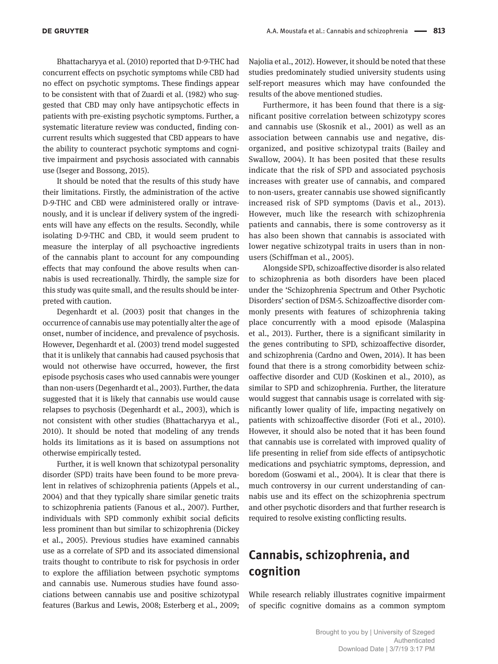Bhattacharyya et al. (2010) reported that D-9-THC had concurrent effects on psychotic symptoms while CBD had no effect on psychotic symptoms. These findings appear to be consistent with that of Zuardi et al. (1982) who suggested that CBD may only have antipsychotic effects in patients with pre-existing psychotic symptoms. Further, a systematic literature review was conducted, finding concurrent results which suggested that CBD appears to have the ability to counteract psychotic symptoms and cognitive impairment and psychosis associated with cannabis use (Iseger and Bossong, 2015).

It should be noted that the results of this study have their limitations. Firstly, the administration of the active D-9-THC and CBD were administered orally or intravenously, and it is unclear if delivery system of the ingredients will have any effects on the results. Secondly, while isolating D-9-THC and CBD, it would seem prudent to measure the interplay of all psychoactive ingredients of the cannabis plant to account for any compounding effects that may confound the above results when cannabis is used recreationally. Thirdly, the sample size for this study was quite small, and the results should be interpreted with caution.

Degenhardt et al. (2003) posit that changes in the occurrence of cannabis use may potentially alter the age of onset, number of incidence, and prevalence of psychosis. However, Degenhardt et al. (2003) trend model suggested that it is unlikely that cannabis had caused psychosis that would not otherwise have occurred, however, the first episode psychosis cases who used cannabis were younger than non-users (Degenhardt et al., 2003). Further, the data suggested that it is likely that cannabis use would cause relapses to psychosis (Degenhardt et al., 2003), which is not consistent with other studies (Bhattacharyya et al., 2010). It should be noted that modeling of any trends holds its limitations as it is based on assumptions not otherwise empirically tested.

Further, it is well known that schizotypal personality disorder (SPD) traits have been found to be more prevalent in relatives of schizophrenia patients (Appels et al., 2004) and that they typically share similar genetic traits to schizophrenia patients (Fanous et al., 2007). Further, individuals with SPD commonly exhibit social deficits less prominent than but similar to schizophrenia (Dickey et al., 2005). Previous studies have examined cannabis use as a correlate of SPD and its associated dimensional traits thought to contribute to risk for psychosis in order to explore the affiliation between psychotic symptoms and cannabis use. Numerous studies have found associations between cannabis use and positive schizotypal features (Barkus and Lewis, 2008; Esterberg et al., 2009;

Najolia et al., 2012). However, it should be noted that these studies predominately studied university students using self-report measures which may have confounded the results of the above mentioned studies.

Furthermore, it has been found that there is a significant positive correlation between schizotypy scores and cannabis use (Skosnik et al., 2001) as well as an association between cannabis use and negative, disorganized, and positive schizotypal traits (Bailey and Swallow, 2004). It has been posited that these results indicate that the risk of SPD and associated psychosis increases with greater use of cannabis, and compared to non-users, greater cannabis use showed significantly increased risk of SPD symptoms (Davis et al., 2013). However, much like the research with schizophrenia patients and cannabis, there is some controversy as it has also been shown that cannabis is associated with lower negative schizotypal traits in users than in nonusers (Schiffman et al., 2005).

Alongside SPD, schizoaffective disorder is also related to schizophrenia as both disorders have been placed under the 'Schizophrenia Spectrum and Other Psychotic Disorders' section of DSM-5. Schizoaffective disorder commonly presents with features of schizophrenia taking place concurrently with a mood episode (Malaspina et al., 2013). Further, there is a significant similarity in the genes contributing to SPD, schizoaffective disorder, and schizophrenia (Cardno and Owen, 2014). It has been found that there is a strong comorbidity between schizoaffective disorder and CUD (Koskinen et al., 2010), as similar to SPD and schizophrenia. Further, the literature would suggest that cannabis usage is correlated with significantly lower quality of life, impacting negatively on patients with schizoaffective disorder (Foti et al., 2010). However, it should also be noted that it has been found that cannabis use is correlated with improved quality of life presenting in relief from side effects of antipsychotic medications and psychiatric symptoms, depression, and boredom (Goswami et al., 2004). It is clear that there is much controversy in our current understanding of cannabis use and its effect on the schizophrenia spectrum and other psychotic disorders and that further research is required to resolve existing conflicting results.

## **Cannabis, schizophrenia, and cognition**

While research reliably illustrates cognitive impairment of specific cognitive domains as a common symptom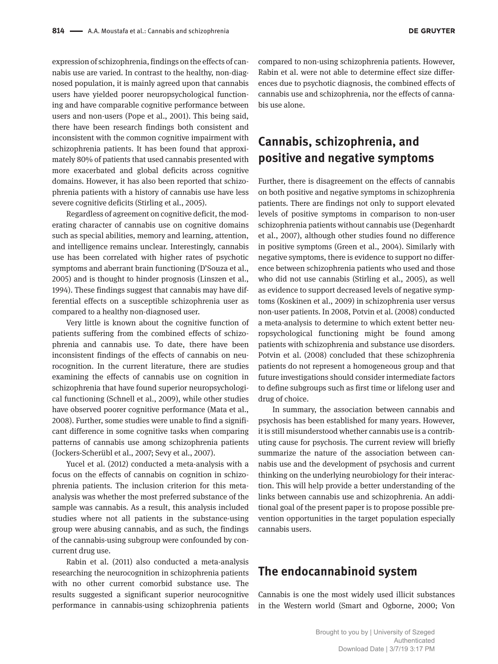expression of schizophrenia, findings on the effects of cannabis use are varied. In contrast to the healthy, non-diagnosed population, it is mainly agreed upon that cannabis users have yielded poorer neuropsychological functioning and have comparable cognitive performance between users and non-users (Pope et al., 2001). This being said, there have been research findings both consistent and inconsistent with the common cognitive impairment with schizophrenia patients. It has been found that approximately 80% of patients that used cannabis presented with more exacerbated and global deficits across cognitive domains. However, it has also been reported that schizophrenia patients with a history of cannabis use have less severe cognitive deficits (Stirling et al., 2005).

Regardless of agreement on cognitive deficit, the moderating character of cannabis use on cognitive domains such as special abilities, memory and learning, attention, and intelligence remains unclear. Interestingly, cannabis use has been correlated with higher rates of psychotic symptoms and aberrant brain functioning (D'Souza et al., 2005) and is thought to hinder prognosis (Linszen et al., 1994). These findings suggest that cannabis may have differential effects on a susceptible schizophrenia user as compared to a healthy non-diagnosed user.

Very little is known about the cognitive function of patients suffering from the combined effects of schizophrenia and cannabis use. To date, there have been inconsistent findings of the effects of cannabis on neurocognition. In the current literature, there are studies examining the effects of cannabis use on cognition in schizophrenia that have found superior neuropsychological functioning (Schnell et al., 2009), while other studies have observed poorer cognitive performance (Mata et al., 2008). Further, some studies were unable to find a significant difference in some cognitive tasks when comparing patterns of cannabis use among schizophrenia patients (Jockers-Scherübl et al., 2007; Sevy et al., 2007).

Yucel et al. (2012) conducted a meta-analysis with a focus on the effects of cannabis on cognition in schizophrenia patients. The inclusion criterion for this metaanalysis was whether the most preferred substance of the sample was cannabis. As a result, this analysis included studies where not all patients in the substance-using group were abusing cannabis, and as such, the findings of the cannabis-using subgroup were confounded by concurrent drug use.

Rabin et al. (2011) also conducted a meta-analysis researching the neurocognition in schizophrenia patients with no other current comorbid substance use. The results suggested a significant superior neurocognitive performance in cannabis-using schizophrenia patients

compared to non-using schizophrenia patients. However, Rabin et al. were not able to determine effect size differences due to psychotic diagnosis, the combined effects of cannabis use and schizophrenia, nor the effects of cannabis use alone.

#### **Cannabis, schizophrenia, and positive and negative symptoms**

Further, there is disagreement on the effects of cannabis on both positive and negative symptoms in schizophrenia patients. There are findings not only to support elevated levels of positive symptoms in comparison to non-user schizophrenia patients without cannabis use (Degenhardt et al., 2007), although other studies found no difference in positive symptoms (Green et al., 2004). Similarly with negative symptoms, there is evidence to support no difference between schizophrenia patients who used and those who did not use cannabis (Stirling et al., 2005), as well as evidence to support decreased levels of negative symptoms (Koskinen et al., 2009) in schizophrenia user versus non-user patients. In 2008, Potvin et al. (2008) conducted a meta-analysis to determine to which extent better neuropsychological functioning might be found among patients with schizophrenia and substance use disorders. Potvin et al. (2008) concluded that these schizophrenia patients do not represent a homogeneous group and that future investigations should consider intermediate factors to define subgroups such as first time or lifelong user and drug of choice.

In summary, the association between cannabis and psychosis has been established for many years. However, it is still misunderstood whether cannabis use is a contributing cause for psychosis. The current review will briefly summarize the nature of the association between cannabis use and the development of psychosis and current thinking on the underlying neurobiology for their interaction. This will help provide a better understanding of the links between cannabis use and schizophrenia. An additional goal of the present paper is to propose possible prevention opportunities in the target population especially cannabis users.

#### **The endocannabinoid system**

Cannabis is one the most widely used illicit substances in the Western world (Smart and Ogborne, 2000; Von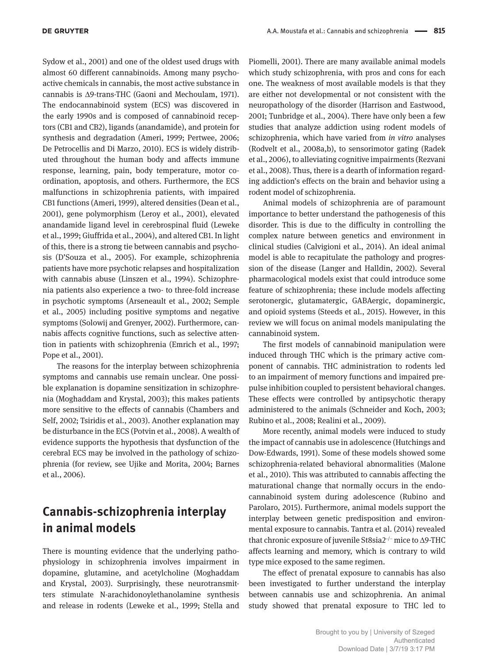Sydow et al., 2001) and one of the oldest used drugs with almost 60 different cannabinoids. Among many psychoactive chemicals in cannabis, the most active substance in cannabis is Δ9-trans-THC (Gaoni and Mechoulam, 1971). The endocannabinoid system (ECS) was discovered in the early 1990s and is composed of cannabinoid receptors (CB1 and CB2), ligands (anandamide), and protein for synthesis and degradation (Ameri, 1999; Pertwee, 2006; De Petrocellis and Di Marzo, 2010). ECS is widely distributed throughout the human body and affects immune response, learning, pain, body temperature, motor coordination, apoptosis, and others. Furthermore, the ECS malfunctions in schizophrenia patients, with impaired CB1 functions (Ameri, 1999), altered densities (Dean et al., 2001), gene polymorphism (Leroy et al., 2001), elevated anandamide ligand level in cerebrospinal fluid (Leweke et al., 1999; Giuffrida et al., 2004), and altered CB1. In light of this, there is a strong tie between cannabis and psychosis (D'Souza et al., 2005). For example, schizophrenia patients have more psychotic relapses and hospitalization with cannabis abuse (Linszen et al., 1994). Schizophrenia patients also experience a two- to three-fold increase in psychotic symptoms (Arseneault et al., 2002; Semple et al., 2005) including positive symptoms and negative symptoms (Solowij and Grenyer, 2002). Furthermore, cannabis affects cognitive functions, such as selective attention in patients with schizophrenia (Emrich et al., 1997; Pope et al., 2001).

The reasons for the interplay between schizophrenia symptoms and cannabis use remain unclear. One possible explanation is dopamine sensitization in schizophrenia (Moghaddam and Krystal, 2003); this makes patients more sensitive to the effects of cannabis (Chambers and Self, 2002; Tsiridis et al., 2003). Another explanation may be disturbance in the ECS (Potvin et al., 2008). A wealth of evidence supports the hypothesis that dysfunction of the cerebral ECS may be involved in the pathology of schizophrenia (for review, see Ujike and Morita, 2004; Barnes et al., 2006).

### **Cannabis-schizophrenia interplay in animal models**

There is mounting evidence that the underlying pathophysiology in schizophrenia involves impairment in dopamine, glutamine, and acetylcholine (Moghaddam and Krystal, 2003). Surprisingly, these neurotransmitters stimulate N-arachidonoylethanolamine synthesis and release in rodents (Leweke et al., 1999; Stella and

Piomelli, 2001). There are many available animal models which study schizophrenia, with pros and cons for each one. The weakness of most available models is that they are either not developmental or not consistent with the neuropathology of the disorder (Harrison and Eastwood, 2001; Tunbridge et al., 2004). There have only been a few studies that analyze addiction using rodent models of schizophrenia, which have varied from *in vitro* analyses (Rodvelt et al., 2008a,b), to sensorimotor gating (Radek et al., 2006), to alleviating cognitive impairments (Rezvani et al., 2008). Thus, there is a dearth of information regarding addiction's effects on the brain and behavior using a rodent model of schizophrenia.

Animal models of schizophrenia are of paramount importance to better understand the pathogenesis of this disorder. This is due to the difficulty in controlling the complex nature between genetics and environment in clinical studies (Calvigioni et al., 2014). An ideal animal model is able to recapitulate the pathology and progression of the disease (Langer and Halldin, 2002). Several pharmacological models exist that could introduce some feature of schizophrenia; these include models affecting serotonergic, glutamatergic, GABAergic, dopaminergic, and opioid systems (Steeds et al., 2015). However, in this review we will focus on animal models manipulating the cannabinoid system.

The first models of cannabinoid manipulation were induced through THC which is the primary active component of cannabis. THC administration to rodents led to an impairment of memory functions and impaired prepulse inhibition coupled to persistent behavioral changes. These effects were controlled by antipsychotic therapy administered to the animals (Schneider and Koch, 2003; Rubino et al., 2008; Realini et al., 2009).

More recently, animal models were induced to study the impact of cannabis use in adolescence (Hutchings and Dow-Edwards, 1991). Some of these models showed some schizophrenia-related behavioral abnormalities (Malone et al., 2010). This was attributed to cannabis affecting the maturational change that normally occurs in the endocannabinoid system during adolescence (Rubino and Parolaro, 2015). Furthermore, animal models support the interplay between genetic predisposition and environmental exposure to cannabis. Tantra et al. (2014) revealed that chronic exposure of juvenile St8sia2−/− mice to Δ9-THC affects learning and memory, which is contrary to wild type mice exposed to the same regimen.

The effect of prenatal exposure to cannabis has also been investigated to further understand the interplay between cannabis use and schizophrenia. An animal study showed that prenatal exposure to THC led to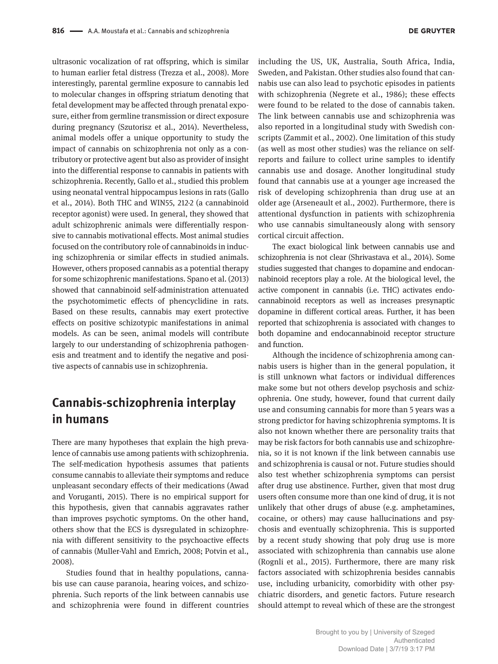ultrasonic vocalization of rat offspring, which is similar to human earlier fetal distress (Trezza et al., 2008). More interestingly, parental germline exposure to cannabis led to molecular changes in offspring striatum denoting that fetal development may be affected through prenatal exposure, either from germline transmission or direct exposure during pregnancy (Szutorisz et al., 2014). Nevertheless, animal models offer a unique opportunity to study the impact of cannabis on schizophrenia not only as a contributory or protective agent but also as provider of insight into the differential response to cannabis in patients with schizophrenia. Recently, Gallo et al., studied this problem using neonatal ventral hippocampus lesions in rats (Gallo et al., 2014). Both THC and WIN55, 212-2 (a cannabinoid receptor agonist) were used. In general, they showed that adult schizophrenic animals were differentially responsive to cannabis motivational effects. Most animal studies focused on the contributory role of cannabinoids in inducing schizophrenia or similar effects in studied animals. However, others proposed cannabis as a potential therapy for some schizophrenic manifestations. Spano et al. (2013) showed that cannabinoid self-administration attenuated the psychotomimetic effects of phencyclidine in rats. Based on these results, cannabis may exert protective effects on positive schizotypic manifestations in animal models. As can be seen, animal models will contribute largely to our understanding of schizophrenia pathogenesis and treatment and to identify the negative and positive aspects of cannabis use in schizophrenia.

### **Cannabis-schizophrenia interplay in humans**

There are many hypotheses that explain the high prevalence of cannabis use among patients with schizophrenia. The self-medication hypothesis assumes that patients consume cannabis to alleviate their symptoms and reduce unpleasant secondary effects of their medications (Awad and Voruganti, 2015). There is no empirical support for this hypothesis, given that cannabis aggravates rather than improves psychotic symptoms. On the other hand, others show that the ECS is dysregulated in schizophrenia with different sensitivity to the psychoactive effects of cannabis (Muller-Vahl and Emrich, 2008; Potvin et al., 2008).

Studies found that in healthy populations, cannabis use can cause paranoia, hearing voices, and schizophrenia. Such reports of the link between cannabis use and schizophrenia were found in different countries

including the US, UK, Australia, South Africa, India, Sweden, and Pakistan. Other studies also found that cannabis use can also lead to psychotic episodes in patients with schizophrenia (Negrete et al., 1986); these effects were found to be related to the dose of cannabis taken. The link between cannabis use and schizophrenia was also reported in a longitudinal study with Swedish conscripts (Zammit et al., 2002). One limitation of this study (as well as most other studies) was the reliance on selfreports and failure to collect urine samples to identify cannabis use and dosage. Another longitudinal study found that cannabis use at a younger age increased the risk of developing schizophrenia than drug use at an older age (Arseneault et al., 2002). Furthermore, there is attentional dysfunction in patients with schizophrenia who use cannabis simultaneously along with sensory cortical circuit affection.

The exact biological link between cannabis use and schizophrenia is not clear (Shrivastava et al., 2014). Some studies suggested that changes to dopamine and endocannabinoid receptors play a role. At the biological level, the active component in cannabis (i.e. THC) activates endocannabinoid receptors as well as increases presynaptic dopamine in different cortical areas. Further, it has been reported that schizophrenia is associated with changes to both dopamine and endocannabinoid receptor structure and function.

Although the incidence of schizophrenia among cannabis users is higher than in the general population, it is still unknown what factors or individual differences make some but not others develop psychosis and schizophrenia. One study, however, found that current daily use and consuming cannabis for more than 5 years was a strong predictor for having schizophrenia symptoms. It is also not known whether there are personality traits that may be risk factors for both cannabis use and schizophrenia, so it is not known if the link between cannabis use and schizophrenia is causal or not. Future studies should also test whether schizophrenia symptoms can persist after drug use abstinence. Further, given that most drug users often consume more than one kind of drug, it is not unlikely that other drugs of abuse (e.g. amphetamines, cocaine, or others) may cause hallucinations and psychosis and eventually schizophrenia. This is supported by a recent study showing that poly drug use is more associated with schizophrenia than cannabis use alone (Rognli et al., 2015). Furthermore, there are many risk factors associated with schizophrenia besides cannabis use, including urbanicity, comorbidity with other psychiatric disorders, and genetic factors. Future research should attempt to reveal which of these are the strongest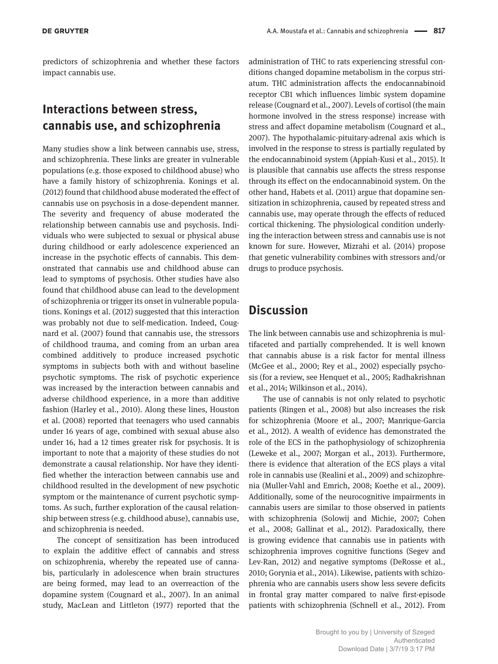predictors of schizophrenia and whether these factors impact cannabis use.

#### **Interactions between stress, cannabis use, and schizophrenia**

Many studies show a link between cannabis use, stress, and schizophrenia. These links are greater in vulnerable populations (e.g. those exposed to childhood abuse) who have a family history of schizophrenia. Konings et al. (2012) found that childhood abuse moderated the effect of cannabis use on psychosis in a dose-dependent manner. The severity and frequency of abuse moderated the relationship between cannabis use and psychosis. Individuals who were subjected to sexual or physical abuse during childhood or early adolescence experienced an increase in the psychotic effects of cannabis. This demonstrated that cannabis use and childhood abuse can lead to symptoms of psychosis. Other studies have also found that childhood abuse can lead to the development of schizophrenia or trigger its onset in vulnerable populations. Konings et al. (2012) suggested that this interaction was probably not due to self-medication. Indeed, Cougnard et al. (2007) found that cannabis use, the stressors of childhood trauma, and coming from an urban area combined additively to produce increased psychotic symptoms in subjects both with and without baseline psychotic symptoms. The risk of psychotic experience was increased by the interaction between cannabis and adverse childhood experience, in a more than additive fashion (Harley et al., 2010). Along these lines, Houston et al. (2008) reported that teenagers who used cannabis under 16 years of age, combined with sexual abuse also under 16, had a 12 times greater risk for psychosis. It is important to note that a majority of these studies do not demonstrate a causal relationship. Nor have they identified whether the interaction between cannabis use and childhood resulted in the development of new psychotic symptom or the maintenance of current psychotic symptoms. As such, further exploration of the causal relationship between stress (e.g. childhood abuse), cannabis use, and schizophrenia is needed.

The concept of sensitization has been introduced to explain the additive effect of cannabis and stress on schizophrenia, whereby the repeated use of cannabis, particularly in adolescence when brain structures are being formed, may lead to an overreaction of the dopamine system (Cougnard et al., 2007). In an animal study, MacLean and Littleton (1977) reported that the administration of THC to rats experiencing stressful conditions changed dopamine metabolism in the corpus striatum. THC administration affects the endocannabinoid receptor CB1 which influences limbic system dopamine release (Cougnard et al., 2007). Levels of cortisol (the main hormone involved in the stress response) increase with stress and affect dopamine metabolism (Cougnard et al., 2007). The hypothalamic-pituitary-adrenal axis which is involved in the response to stress is partially regulated by the endocannabinoid system (Appiah-Kusi et al., 2015). It is plausible that cannabis use affects the stress response through its effect on the endocannabinoid system. On the other hand, Habets et al. (2011) argue that dopamine sensitization in schizophrenia, caused by repeated stress and cannabis use, may operate through the effects of reduced cortical thickening. The physiological condition underlying the interaction between stress and cannabis use is not known for sure. However, Mizrahi et al. (2014) propose that genetic vulnerability combines with stressors and/or drugs to produce psychosis.

#### **Discussion**

The link between cannabis use and schizophrenia is multifaceted and partially comprehended. It is well known that cannabis abuse is a risk factor for mental illness (McGee et al., 2000; Rey et al., 2002) especially psychosis (for a review, see Henquet et al., 2005; Radhakrishnan et al., 2014; Wilkinson et al., 2014).

The use of cannabis is not only related to psychotic patients (Ringen et al., 2008) but also increases the risk for schizophrenia (Moore et al., 2007; Manrique-Garcia et al., 2012). A wealth of evidence has demonstrated the role of the ECS in the pathophysiology of schizophrenia (Leweke et al., 2007; Morgan et al., 2013). Furthermore, there is evidence that alteration of the ECS plays a vital role in cannabis use (Realini et al., 2009) and schizophrenia (Muller-Vahl and Emrich, 2008; Koethe et al., 2009). Additionally, some of the neurocognitive impairments in cannabis users are similar to those observed in patients with schizophrenia (Solowij and Michie, 2007; Cohen et al., 2008; Gallinat et al., 2012). Paradoxically, there is growing evidence that cannabis use in patients with schizophrenia improves cognitive functions (Segev and Lev-Ran, 2012) and negative symptoms (DeRosse et al., 2010; Gorynia et al., 2014). Likewise, patients with schizophrenia who are cannabis users show less severe deficits in frontal gray matter compared to naïve first-episode patients with schizophrenia (Schnell et al., 2012). From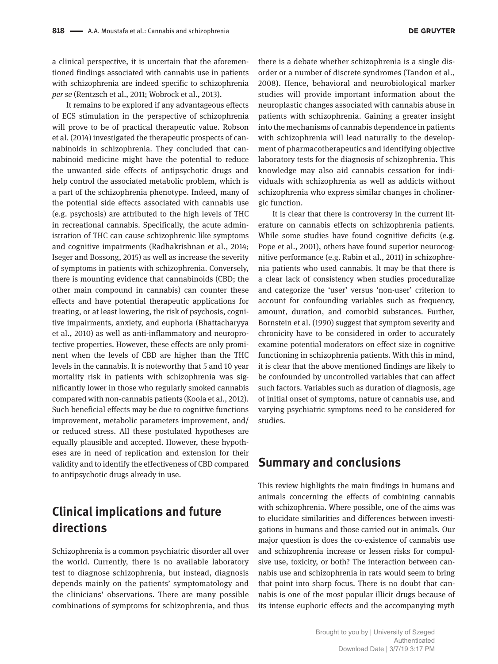a clinical perspective, it is uncertain that the aforementioned findings associated with cannabis use in patients with schizophrenia are indeed specific to schizophrenia *per se* (Rentzsch et al., 2011; Wobrock et al., 2013).

It remains to be explored if any advantageous effects of ECS stimulation in the perspective of schizophrenia will prove to be of practical therapeutic value. Robson et al. (2014) investigated the therapeutic prospects of cannabinoids in schizophrenia. They concluded that cannabinoid medicine might have the potential to reduce the unwanted side effects of antipsychotic drugs and help control the associated metabolic problem, which is a part of the schizophrenia phenotype. Indeed, many of the potential side effects associated with cannabis use (e.g. psychosis) are attributed to the high levels of THC in recreational cannabis. Specifically, the acute administration of THC can cause schizophrenic like symptoms and cognitive impairments (Radhakrishnan et al., 2014; Iseger and Bossong, 2015) as well as increase the severity of symptoms in patients with schizophrenia. Conversely, there is mounting evidence that cannabinoids (CBD; the other main compound in cannabis) can counter these effects and have potential therapeutic applications for treating, or at least lowering, the risk of psychosis, cognitive impairments, anxiety, and euphoria (Bhattacharyya et al., 2010) as well as anti-inflammatory and neuroprotective properties. However, these effects are only prominent when the levels of CBD are higher than the THC levels in the cannabis. It is noteworthy that 5 and 10 year mortality risk in patients with schizophrenia was significantly lower in those who regularly smoked cannabis compared with non-cannabis patients (Koola et al., 2012). Such beneficial effects may be due to cognitive functions improvement, metabolic parameters improvement, and/ or reduced stress. All these postulated hypotheses are equally plausible and accepted. However, these hypotheses are in need of replication and extension for their validity and to identify the effectiveness of CBD compared to antipsychotic drugs already in use.

### **Clinical implications and future directions**

Schizophrenia is a common psychiatric disorder all over the world. Currently, there is no available laboratory test to diagnose schizophrenia, but instead, diagnosis depends mainly on the patients' symptomatology and the clinicians' observations. There are many possible combinations of symptoms for schizophrenia, and thus

there is a debate whether schizophrenia is a single disorder or a number of discrete syndromes (Tandon et al., 2008). Hence, behavioral and neurobiological marker studies will provide important information about the neuroplastic changes associated with cannabis abuse in patients with schizophrenia. Gaining a greater insight into the mechanisms of cannabis dependence in patients with schizophrenia will lead naturally to the development of pharmacotherapeutics and identifying objective laboratory tests for the diagnosis of schizophrenia. This knowledge may also aid cannabis cessation for individuals with schizophrenia as well as addicts without schizophrenia who express similar changes in cholinergic function.

It is clear that there is controversy in the current literature on cannabis effects on schizophrenia patients. While some studies have found cognitive deficits (e.g. Pope et al., 2001), others have found superior neurocognitive performance (e.g. Rabin et al., 2011) in schizophrenia patients who used cannabis. It may be that there is a clear lack of consistency when studies proceduralize and categorize the 'user' versus 'non-user' criterion to account for confounding variables such as frequency, amount, duration, and comorbid substances. Further, Bornstein et al. (1990) suggest that symptom severity and chronicity have to be considered in order to accurately examine potential moderators on effect size in cognitive functioning in schizophrenia patients. With this in mind, it is clear that the above mentioned findings are likely to be confounded by uncontrolled variables that can affect such factors. Variables such as duration of diagnosis, age of initial onset of symptoms, nature of cannabis use, and varying psychiatric symptoms need to be considered for studies.

#### **Summary and conclusions**

This review highlights the main findings in humans and animals concerning the effects of combining cannabis with schizophrenia. Where possible, one of the aims was to elucidate similarities and differences between investigations in humans and those carried out in animals. Our major question is does the co-existence of cannabis use and schizophrenia increase or lessen risks for compulsive use, toxicity, or both? The interaction between cannabis use and schizophrenia in rats would seem to bring that point into sharp focus. There is no doubt that cannabis is one of the most popular illicit drugs because of its intense euphoric effects and the accompanying myth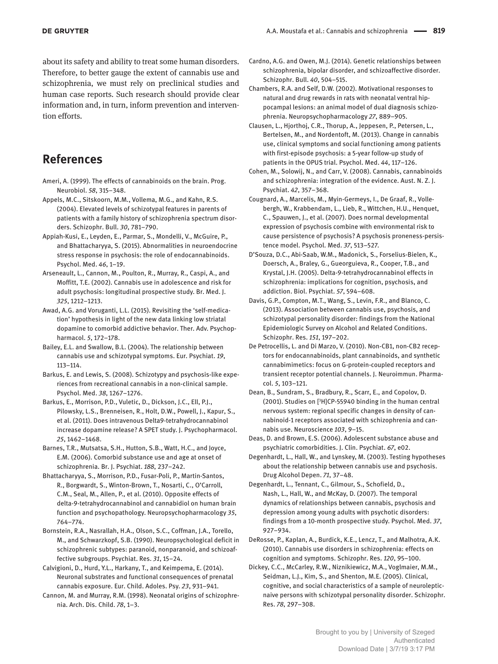about its safety and ability to treat some human disorders. Therefore, to better gauge the extent of cannabis use and schizophrenia, we must rely on preclinical studies and human case reports. Such research should provide clear information and, in turn, inform prevention and intervention efforts.

#### **References**

Ameri, A. (1999). The effects of cannabinoids on the brain. Prog. Neurobiol. *58*, 315–348.

Appels, M.C., Sitskoorn, M.M., Vollema, M.G., and Kahn, R.S. (2004). Elevated levels of schizotypal features in parents of patients with a family history of schizophrenia spectrum disorders. Schizophr. Bull. *30*, 781–790.

- Appiah-Kusi, E., Leyden, E., Parmar, S., Mondelli, V., McGuire, P., and Bhattacharyya, S. (2015). Abnormalities in neuroendocrine stress response in psychosis: the role of endocannabinoids. Psychol. Med. *46*, 1–19.
- Arseneault, L., Cannon, M., Poulton, R., Murray, R., Caspi, A., and Moffitt, T.E. (2002). Cannabis use in adolescence and risk for adult psychosis: longitudinal prospective study. Br. Med. J. *325*, 1212–1213.
- Awad, A.G. and Voruganti, L.L. (2015). Revisiting the 'self-medication' hypothesis in light of the new data linking low striatal dopamine to comorbid addictive behavior. Ther. Adv. Psychopharmacol. *5*, 172–178.

Bailey, E.L. and Swallow, B.L. (2004). The relationship between cannabis use and schizotypal symptoms. Eur. Psychiat. *19*, 113–114.

Barkus, E. and Lewis, S. (2008). Schizotypy and psychosis-like experiences from recreational cannabis in a non-clinical sample. Psychol. Med. *38*, 1267–1276.

Barkus, E., Morrison, P.D., Vuletic, D., Dickson, J.C., Ell, P.J., Pilowsky, L.S., Brenneisen, R., Holt, D.W., Powell, J., Kapur, S., et al. (2011). Does intravenous Delta9-tetrahydrocannabinol increase dopamine release? A SPET study. J. Psychopharmacol. *25*, 1462–1468.

Barnes, T.R., Mutsatsa, S.H., Hutton, S.B., Watt, H.C., and Joyce, E.M. (2006). Comorbid substance use and age at onset of schizophrenia. Br. J. Psychiat. *188*, 237–242.

Bhattacharyya, S., Morrison, P.D., Fusar-Poli, P., Martin-Santos, R., Borgwardt, S., Winton-Brown, T., Nosarti, C., O'Carroll, C.M., Seal, M., Allen, P., et al. (2010). Opposite effects of delta-9-tetrahydrocannabinol and cannabidiol on human brain function and psychopathology. Neuropsychopharmacology *35*, 764–774.

Bornstein, R.A., Nasrallah, H.A., Olson, S.C., Coffman, J.A., Torello, M., and Schwarzkopf, S.B. (1990). Neuropsychological deficit in schizophrenic subtypes: paranoid, nonparanoid, and schizoaffective subgroups. Psychiat. Res. *31*, 15–24.

Calvigioni, D., Hurd, Y.L., Harkany, T., and Keimpema, E. (2014). Neuronal substrates and functional consequences of prenatal cannabis exposure. Eur. Child. Adoles. Psy. *23*, 931–941.

Cannon, M. and Murray, R.M. (1998). Neonatal origins of schizophrenia. Arch. Dis. Child. *78*, 1–3.

Cardno, A.G. and Owen, M.J. (2014). Genetic relationships between schizophrenia, bipolar disorder, and schizoaffective disorder. Schizophr. Bull. *40*, 504–515.

Chambers, R.A. and Self, D.W. (2002). Motivational responses to natural and drug rewards in rats with neonatal ventral hippocampal lesions: an animal model of dual diagnosis schizophrenia. Neuropsychopharmacology *27*, 889–905.

Clausen, L., Hjorthoj, C.R., Thorup, A., Jeppesen, P., Petersen, L., Bertelsen, M., and Nordentoft, M. (2013). Change in cannabis use, clinical symptoms and social functioning among patients with first-episode psychosis: a 5-year follow-up study of patients in the OPUS trial. Psychol. Med. *44*, 117–126.

Cohen, M., Solowij, N., and Carr, V. (2008). Cannabis, cannabinoids and schizophrenia: integration of the evidence. Aust. N. Z. J. Psychiat. *42*, 357–368.

- Cougnard, A., Marcelis, M., Myin-Germeys, I., De Graaf, R., Vollebergh, W., Krabbendam, L., Lieb, R., Wittchen, H.U., Henquet, C., Spauwen, J., et al. (2007). Does normal developmental expression of psychosis combine with environmental risk to cause persistence of psychosis? A psychosis proneness-persistence model. Psychol. Med. *37*, 513–527.
- D'Souza, D.C., Abi-Saab, W.M., Madonick, S., Forselius-Bielen, K., Doersch, A., Braley, G., Gueorguieva, R., Cooper, T.B., and Krystal, J.H. (2005). Delta-9-tetrahydrocannabinol effects in schizophrenia: implications for cognition, psychosis, and addiction. Biol. Psychiat. *57*, 594–608.

Davis, G.P., Compton, M.T., Wang, S., Levin, F.R., and Blanco, C. (2013). Association between cannabis use, psychosis, and schizotypal personality disorder: findings from the National Epidemiologic Survey on Alcohol and Related Conditions. Schizophr. Res. *151*, 197–202.

De Petrocellis, L. and Di Marzo, V. (2010). Non-CB1, non-CB2 receptors for endocannabinoids, plant cannabinoids, and synthetic cannabimimetics: focus on G-protein-coupled receptors and transient receptor potential channels. J. Neuroimmun. Pharmacol. *5*, 103–121.

Dean, B., Sundram, S., Bradbury, R., Scarr, E., and Copolov, D. (2001). Studies on [3 H]CP-55940 binding in the human central nervous system: regional specific changes in density of cannabinoid-1 receptors associated with schizophrenia and cannabis use. Neuroscience *103*, 9–15.

Deas, D. and Brown, E.S. (2006). Adolescent substance abuse and psychiatric comorbidities. J. Clin. Psychiat. *67*, e02.

Degenhardt, L., Hall, W., and Lynskey, M. (2003). Testing hypotheses about the relationship between cannabis use and psychosis. Drug Alcohol Depen. *71*, 37–48.

Degenhardt, L., Tennant, C., Gilmour, S., Schofield, D., Nash, L., Hall, W., and McKay, D. (2007). The temporal dynamics of relationships between cannabis, psychosis and depression among young adults with psychotic disorders: findings from a 10-month prospective study. Psychol. Med. *37*, 927–934.

DeRosse, P., Kaplan, A., Burdick, K.E., Lencz, T., and Malhotra, A.K. (2010). Cannabis use disorders in schizophrenia: effects on cognition and symptoms. Schizophr. Res. *120*, 95–100.

Dickey, C.C., McCarley, R.W., Niznikiewicz, M.A., Voglmaier, M.M., Seidman, L.J., Kim, S., and Shenton, M.E. (2005). Clinical, cognitive, and social characteristics of a sample of neurolepticnaive persons with schizotypal personality disorder. Schizophr. Res. *78*, 297–308.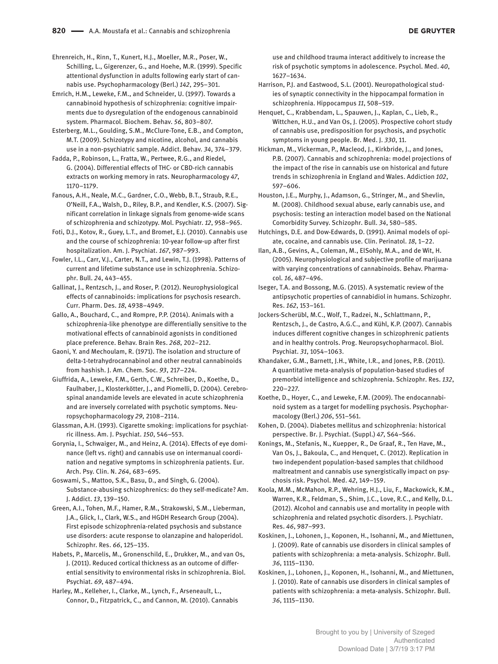**DE GRUYTER** 

Ehrenreich, H., Rinn, T., Kunert, H.J., Moeller, M.R., Poser, W., Schilling, L., Gigerenzer, G., and Hoehe, M.R. (1999). Specific attentional dysfunction in adults following early start of cannabis use. Psychopharmacology (Berl.) *142*, 295–301.

Emrich, H.M., Leweke, F.M., and Schneider, U. (1997). Towards a cannabinoid hypothesis of schizophrenia: cognitive impairments due to dysregulation of the endogenous cannabinoid system. Pharmacol. Biochem. Behav. *56*, 803–807.

Esterberg, M.L., Goulding, S.M., McClure-Tone, E.B., and Compton, M.T. (2009). Schizotypy and nicotine, alcohol, and cannabis use in a non-psychiatric sample. Addict. Behav. *34*, 374–379.

Fadda, P., Robinson, L., Fratta, W., Pertwee, R.G., and Riedel, G. (2004). Differential effects of THC- or CBD-rich cannabis extracts on working memory in rats. Neuropharmacology *47*, 1170–1179.

Fanous, A.H., Neale, M.C., Gardner, C.O., Webb, B.T., Straub, R.E., O'Neill, F.A., Walsh, D., Riley, B.P., and Kendler, K.S. (2007). Significant correlation in linkage signals from genome-wide scans of schizophrenia and schizotypy. Mol. Psychiatr. *12*, 958–965.

Foti, D.J., Kotov, R., Guey, L.T., and Bromet, E.J. (2010). Cannabis use and the course of schizophrenia: 10-year follow-up after first hospitalization. Am. J. Psychiat. *167*, 987–993.

Fowler, I.L., Carr, V.J., Carter, N.T., and Lewin, T.J. (1998). Patterns of current and lifetime substance use in schizophrenia. Schizophr. Bull. *24*, 443–455.

Gallinat, J., Rentzsch, J., and Roser, P. (2012). Neurophysiological effects of cannabinoids: implications for psychosis research. Curr. Pharm. Des. *18*, 4938–4949.

Gallo, A., Bouchard, C., and Rompre, P.P. (2014). Animals with a schizophrenia-like phenotype are differentially sensitive to the motivational effects of cannabinoid agonists in conditioned place preference. Behav. Brain Res. *268*, 202–212.

Gaoni, Y. and Mechoulam, R. (1971). The isolation and structure of delta-1-tetrahydrocannabinol and other neutral cannabinoids from hashish. J. Am. Chem. Soc. *93*, 217–224.

Giuffrida, A., Leweke, F.M., Gerth, C.W., Schreiber, D., Koethe, D., Faulhaber, J., Klosterkötter, J., and Piomelli, D. (2004). Cerebrospinal anandamide levels are elevated in acute schizophrenia and are inversely correlated with psychotic symptoms. Neuropsychopharmacology *29*, 2108–2114.

Glassman, A.H. (1993). Cigarette smoking: implications for psychiatric illness. Am. J. Psychiat. *150*, 546–553.

Gorynia, I., Schwaiger, M., and Heinz, A. (2014). Effects of eye dominance (left vs. right) and cannabis use on intermanual coordination and negative symptoms in schizophrenia patients. Eur. Arch. Psy. Clin. N. *264*, 683–695.

Goswami, S., Mattoo, S.K., Basu, D., and Singh, G. (2004). Substance-abusing schizophrenics: do they self-medicate? Am. J. Addict. *13*, 139–150.

Green, A.I., Tohen, M.F., Hamer, R.M., Strakowski, S.M., Lieberman, J.A., Glick, I., Clark, W.S., and HGDH Research Group (2004). First episode schizophrenia-related psychosis and substance use disorders: acute response to olanzapine and haloperidol. Schizophr. Res. *66*, 125–135.

Habets, P., Marcelis, M., Gronenschild, E., Drukker, M., and van Os, J. (2011). Reduced cortical thickness as an outcome of differential sensitivity to environmental risks in schizophrenia. Biol. Psychiat. *69*, 487–494.

Harley, M., Kelleher, I., Clarke, M., Lynch, F., Arseneault, L., Connor, D., Fitzpatrick, C., and Cannon, M. (2010). Cannabis use and childhood trauma interact additively to increase the risk of psychotic symptoms in adolescence. Psychol. Med. *40*, 1627–1634.

Harrison, P.J. and Eastwood, S.L. (2001). Neuropathological studies of synaptic connectivity in the hippocampal formation in schizophrenia. Hippocampus *11*, 508–519.

Henquet, C., Krabbendam, L., Spauwen, J., Kaplan, C., Lieb, R., Wittchen, H.U., and Van Os, J. (2005). Prospective cohort study of cannabis use, predisposition for psychosis, and psychotic symptoms in young people. Br. Med. J. *330*, 11.

Hickman, M., Vickerman, P., Macleod, J., Kirkbride, J., and Jones, P.B. (2007). Cannabis and schizophrenia: model projections of the impact of the rise in cannabis use on historical and future trends in schizophrenia in England and Wales. Addiction *102*, 597–606.

Houston, J.E., Murphy, J., Adamson, G., Stringer, M., and Shevlin, M. (2008). Childhood sexual abuse, early cannabis use, and psychosis: testing an interaction model based on the National Comorbidity Survey. Schizophr. Bull. *34*, 580–585.

Hutchings, D.E. and Dow-Edwards, D. (1991). Animal models of opiate, cocaine, and cannabis use. Clin. Perinatol. *18*, 1–22.

Ilan, A.B., Gevins, A., Coleman, M., ElSohly, M.A., and de Wit, H. (2005). Neurophysiological and subjective profile of marijuana with varying concentrations of cannabinoids. Behav. Pharmacol. *16*, 487–496.

Iseger, T.A. and Bossong, M.G. (2015). A systematic review of the antipsychotic properties of cannabidiol in humans. Schizophr. Res. *162*, 153–161.

Jockers-Scherübl, M.C., Wolf, T., Radzei, N., Schlattmann, P., Rentzsch, J., de Castro, A.G.C., and Kühl, K.P. (2007). Cannabis induces different cognitive changes in schizophrenic patients and in healthy controls. Prog. Neuropsychopharmacol. Biol. Psychiat. *31*, 1054–1063.

Khandaker, G.M., Barnett, J.H., White, I.R., and Jones, P.B. (2011). A quantitative meta-analysis of population-based studies of premorbid intelligence and schizophrenia. Schizophr. Res. *132*, 220–227.

Koethe, D., Hoyer, C., and Leweke, F.M. (2009). The endocannabinoid system as a target for modelling psychosis. Psychopharmacology (Berl.) *206*, 551–561.

Kohen, D. (2004). Diabetes mellitus and schizophrenia: historical perspective. Br. J. Psychiat. (Suppl.) *47*, S64–S66.

Konings, M., Stefanis, N., Kuepper, R., De Graaf, R., Ten Have, M., Van Os, J., Bakoula, C., and Henquet, C. (2012). Replication in two independent population-based samples that childhood maltreatment and cannabis use synergistically impact on psychosis risk. Psychol. Med. *42*, 149–159.

Koola, M.M., McMahon, R.P., Wehring, H.J., Liu, F., Mackowick, K.M., Warren, K.R., Feldman, S., Shim, J.C., Love, R.C., and Kelly, D.L. (2012). Alcohol and cannabis use and mortality in people with schizophrenia and related psychotic disorders. J. Psychiatr. Res. *46*, 987–993.

Koskinen, J., Lohonen, J., Koponen, H., Isohanni, M., and Miettunen, J. (2009). Rate of cannabis use disorders in clinical samples of patients with schizophrenia: a meta-analysis. Schizophr. Bull. *36*, 1115–1130.

Koskinen, J., Lohonen, J., Koponen, H., Isohanni, M., and Miettunen, J. (2010). Rate of cannabis use disorders in clinical samples of patients with schizophrenia: a meta-analysis. Schizophr. Bull. *36*, 1115–1130.

> Brought to you by | University of Szeged Authenticated Download Date | 3/7/19 3:17 PM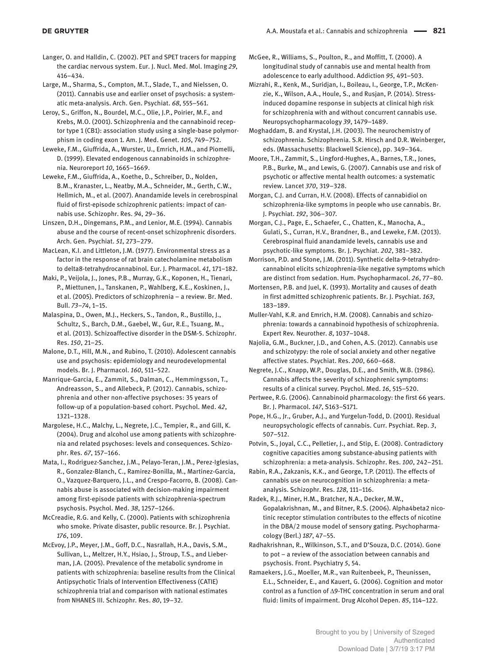Langer, O. and Halldin, C. (2002). PET and SPET tracers for mapping the cardiac nervous system. Eur. J. Nucl. Med. Mol. Imaging *29*, 416–434.

Large, M., Sharma, S., Compton, M.T., Slade, T., and Nielssen, O. (2011). Cannabis use and earlier onset of psychosis: a systematic meta-analysis. Arch. Gen. Psychiat. *68*, 555–561.

Leroy, S., Griffon, N., Bourdel, M.C., Olie, J.P., Poirier, M.F., and Krebs, M.O. (2001). Schizophrenia and the cannabinoid receptor type 1 (CB1): association study using a single-base polymorphism in coding exon 1. Am. J. Med. Genet. *105*, 749–752.

Leweke, F.M., Giuffrida, A., Wurster, U., Emrich, H.M., and Piomelli, D. (1999). Elevated endogenous cannabinoids in schizophrenia. Neuroreport *10*, 1665–1669.

Leweke, F.M., Giuffrida, A., Koethe, D., Schreiber, D., Nolden, B.M., Kranaster, L., Neatby, M.A., Schneider, M., Gerth, C.W., Hellmich, M., et al. (2007). Anandamide levels in cerebrospinal fluid of first-episode schizophrenic patients: impact of cannabis use. Schizophr. Res. *94*, 29–36.

Linszen, D.H., Dingemans, P.M., and Lenior, M.E. (1994). Cannabis abuse and the course of recent-onset schizophrenic disorders. Arch. Gen. Psychiat. *51*, 273–279.

MacLean, K.I. and Littleton, J.M. (1977). Environmental stress as a factor in the response of rat brain catecholamine metabolism to delta8-tetrahydrocannabinol. Eur. J. Pharmacol. *41*, 171–182.

Maki, P., Veijola, J., Jones, P.B., Murray, G.K., Koponen, H., Tienari, P., Miettunen, J., Tanskanen, P., Wahlberg, K.E., Koskinen, J., et al. (2005). Predictors of schizophrenia – a review. Br. Med. Bull. *73*–*74*, 1–15.

Malaspina, D., Owen, M.J., Heckers, S., Tandon, R., Bustillo, J., Schultz, S., Barch, D.M., Gaebel, W., Gur, R.E., Tsuang, M., et al. (2013). Schizoaffective disorder in the DSM-5. Schizophr. Res. *150*, 21–25.

Malone, D.T., Hill, M.N., and Rubino, T. (2010). Adolescent cannabis use and psychosis: epidemiology and neurodevelopmental models. Br. J. Pharmacol. *160*, 511–522.

Manrique-Garcia, E., Zammit, S., Dalman, C., Hemmingsson, T., Andreasson, S., and Allebeck, P. (2012). Cannabis, schizophrenia and other non-affective psychoses: 35 years of follow-up of a population-based cohort. Psychol. Med. *42*, 1321–1328.

Margolese, H.C., Malchy, L., Negrete, J.C., Tempier, R., and Gill, K. (2004). Drug and alcohol use among patients with schizophrenia and related psychoses: levels and consequences. Schizophr. Res. *67*, 157–166.

Mata, I., Rodriguez-Sanchez, J.M., Pelayo-Teran, J.M., Perez-Iglesias, R., Gonzalez-Blanch, C., Ramirez-Bonilla, M., Martinez-Garcia, O., Vazquez-Barquero, J.L., and Crespo-Facorro, B. (2008). Cannabis abuse is associated with decision-making impairment among first-episode patients with schizophrenia-spectrum psychosis. Psychol. Med. *38*, 1257–1266.

McCreadie, R.G. and Kelly, C. (2000). Patients with schizophrenia who smoke. Private disaster, public resource. Br. J. Psychiat. *176*, 109.

McEvoy, J.P., Meyer, J.M., Goff, D.C., Nasrallah, H.A., Davis, S.M., Sullivan, L., Meltzer, H.Y., Hsiao, J., Stroup, T.S., and Lieberman, J.A. (2005). Prevalence of the metabolic syndrome in patients with schizophrenia: baseline results from the Clinical Antipsychotic Trials of Intervention Effectiveness (CATIE) schizophrenia trial and comparison with national estimates from NHANES III. Schizophr. Res. *80*, 19–32.

McGee, R., Williams, S., Poulton, R., and Moffitt, T. (2000). A longitudinal study of cannabis use and mental health from adolescence to early adulthood. Addiction *95*, 491–503.

Mizrahi, R., Kenk, M., Suridjan, I., Boileau, I., George, T.P., McKenzie, K., Wilson, A.A., Houle, S., and Rusjan, P. (2014). Stressinduced dopamine response in subjects at clinical high risk for schizophrenia with and without concurrent cannabis use. Neuropsychopharmacology *39*, 1479–1489.

Moghaddam, B. and Krystal, J.H. (2003). The neurochemistry of schizophrenia. Schizophrenia. S.R. Hirsch and D.R. Weinberger, eds. (Massachusetts: Blackwell Science), pp. 349–364.

Moore, T.H., Zammit, S., Lingford-Hughes, A., Barnes, T.R., Jones, P.B., Burke, M., and Lewis, G. (2007). Cannabis use and risk of psychotic or affective mental health outcomes: a systematic review. Lancet *370*, 319–328.

Morgan, C.J. and Curran, H.V. (2008). Effects of cannabidiol on schizophrenia-like symptoms in people who use cannabis. Br. J. Psychiat. *192*, 306–307.

Morgan, C.J., Page, E., Schaefer, C., Chatten, K., Manocha, A., Gulati, S., Curran, H.V., Brandner, B., and Leweke, F.M. (2013). Cerebrospinal fluid anandamide levels, cannabis use and psychotic-like symptoms. Br. J. Psychiat. *202*, 381–382.

Morrison, P.D. and Stone, J.M. (2011). Synthetic delta-9-tetrahydrocannabinol elicits schizophrenia-like negative symptoms which are distinct from sedation. Hum. Psychopharmacol. *26*, 77–80.

Mortensen, P.B. and Juel, K. (1993). Mortality and causes of death in first admitted schizophrenic patients. Br. J. Psychiat. *163*, 183–189.

Muller-Vahl, K.R. and Emrich, H.M. (2008). Cannabis and schizophrenia: towards a cannabinoid hypothesis of schizophrenia. Expert Rev. Neurother. *8*, 1037–1048.

Najolia, G.M., Buckner, J.D., and Cohen, A.S. (2012). Cannabis use and schizotypy: the role of social anxiety and other negative affective states. Psychiat. Res. *200*, 660–668.

Negrete, J.C., Knapp, W.P., Douglas, D.E., and Smith, W.B. (1986). Cannabis affects the severity of schizophrenic symptoms: results of a clinical survey. Psychol. Med. *16*, 515–520.

Pertwee, R.G. (2006). Cannabinoid pharmacology: the first 66 years. Br. J. Pharmacol. *147*, S163–S171.

Pope, H.G., Jr., Gruber, A.J., and Yurgelun-Todd, D. (2001). Residual neuropsychologic effects of cannabis. Curr. Psychiat. Rep. *3*, 507–512.

Potvin, S., Joyal, C.C., Pelletier, J., and Stip, E. (2008). Contradictory cognitive capacities among substance-abusing patients with schizophrenia: a meta-analysis. Schizophr. Res. *100*, 242–251.

Rabin, R.A., Zakzanis, K.K., and George, T.P. (2011). The effects of cannabis use on neurocognition in schizophrenia: a metaanalysis. Schizophr. Res. *128*, 111–116.

Radek, R.J., Miner, H.M., Bratcher, N.A., Decker, M.W., Gopalakrishnan, M., and Bitner, R.S. (2006). Alpha4beta2 nicotinic receptor stimulation contributes to the effects of nicotine in the DBA/2 mouse model of sensory gating. Psychopharmacology (Berl.) *187*, 47–55.

Radhakrishnan, R., Wilkinson, S.T., and D'Souza, D.C. (2014). Gone to pot – a review of the association between cannabis and psychosis. Front. Psychiatry *5*, 54.

Ramaekers, J.G., Moeller, M.R., van Ruitenbeek, P., Theunissen, E.L., Schneider, E., and Kauert, G. (2006). Cognition and motor control as a function of Δ9-THC concentration in serum and oral fluid: limits of impairment. Drug Alcohol Depen. *85*, 114–122.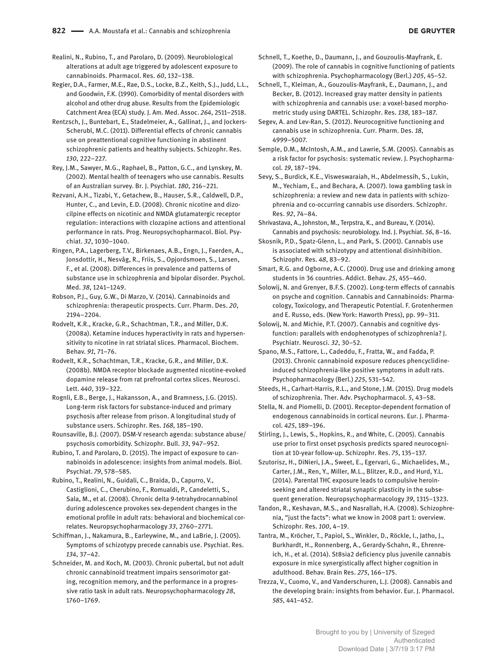**DE GRUYTER** 

Realini, N., Rubino, T., and Parolaro, D. (2009). Neurobiological alterations at adult age triggered by adolescent exposure to cannabinoids. Pharmacol. Res. *60*, 132–138.

Regier, D.A., Farmer, M.E., Rae, D.S., Locke, B.Z., Keith, S.J., Judd, L.L., and Goodwin, F.K. (1990). Comorbidity of mental disorders with alcohol and other drug abuse. Results from the Epidemiologic Catchment Area (ECA) study. J. Am. Med. Assoc. *264*, 2511–2518.

Rentzsch, J., Buntebart, E., Stadelmeier, A., Gallinat, J., and Jockers-Scherubl, M.C. (2011). Differential effects of chronic cannabis use on preattentional cognitive functioning in abstinent schizophrenic patients and healthy subjects. Schizophr. Res. *130*, 222–227.

Rey, J.M., Sawyer, M.G., Raphael, B., Patton, G.C., and Lynskey, M. (2002). Mental health of teenagers who use cannabis. Results of an Australian survey. Br. J. Psychiat. *180*, 216–221.

Rezvani, A.H., Tizabi, Y., Getachew, B., Hauser, S.R., Caldwell, D.P., Hunter, C., and Levin, E.D. (2008). Chronic nicotine and dizocilpine effects on nicotinic and NMDA glutamatergic receptor regulation: interactions with clozapine actions and attentional performance in rats. Prog. Neuropsychopharmacol. Biol. Psychiat. *32*, 1030–1040.

Ringen, P.A., Lagerberg, T.V., Birkenaes, A.B., Engn, J., Faerden, A., Jonsdottir, H., Nesvåg, R., Friis, S., Opjordsmoen, S., Larsen, F., et al. (2008). Differences in prevalence and patterns of substance use in schizophrenia and bipolar disorder. Psychol. Med. *38*, 1241–1249.

Robson, P.J., Guy, G.W., Di Marzo, V. (2014). Cannabinoids and schizophrenia: therapeutic prospects. Curr. Pharm. Des. *20*, 2194–2204.

Rodvelt, K.R., Kracke, G.R., Schachtman, T.R., and Miller, D.K. (2008a). Ketamine induces hyperactivity in rats and hypersensitivity to nicotine in rat striatal slices. Pharmacol. Biochem. Behav. *91*, 71–76.

Rodvelt, K.R., Schachtman, T.R., Kracke, G.R., and Miller, D.K. (2008b). NMDA receptor blockade augmented nicotine-evoked dopamine release from rat prefrontal cortex slices. Neurosci. Lett. *440*, 319–322.

Rognli, E.B., Berge, J., Hakansson, A., and Bramness, J.G. (2015). Long-term risk factors for substance-induced and primary psychosis after release from prison. A longitudinal study of substance users. Schizophr. Res. *168*, 185–190.

Rounsaville, B.J. (2007). DSM-V research agenda: substance abuse/ psychosis comorbidity. Schizophr. Bull. *33*, 947–952.

Rubino, T. and Parolaro, D. (2015). The impact of exposure to cannabinoids in adolescence: insights from animal models. Biol. Psychiat. *79*, 578–585.

Rubino, T., Realini, N., Guidali, C., Braida, D., Capurro, V., Castiglioni, C., Cherubino, F., Romualdi, P., Candeletti, S., Sala, M., et al. (2008). Chronic delta 9-tetrahydrocannabinol during adolescence provokes sex-dependent changes in the emotional profile in adult rats: behavioral and biochemical correlates. Neuropsychopharmacology *33*, 2760–2771.

Schiffman, J., Nakamura, B., Earleywine, M., and LaBrie, J. (2005). Symptoms of schizotypy precede cannabis use. Psychiat. Res. *134*, 37–42.

Schneider, M. and Koch, M. (2003). Chronic pubertal, but not adult chronic cannabinoid treatment impairs sensorimotor gating, recognition memory, and the performance in a progressive ratio task in adult rats. Neuropsychopharmacology *28*, 1760–1769.

Schnell, T., Koethe, D., Daumann, J., and Gouzoulis-Mayfrank, E. (2009). The role of cannabis in cognitive functioning of patients with schizophrenia. Psychopharmacology (Berl.) *205*, 45–52.

Schnell, T., Kleiman, A., Gouzoulis-Mayfrank, E., Daumann, J., and Becker, B. (2012). Increased gray matter density in patients with schizophrenia and cannabis use: a voxel-based morphometric study using DARTEL. Schizophr. Res. *138*, 183–187.

Segev, A. and Lev-Ran, S. (2012). Neurocognitive functioning and cannabis use in schizophrenia. Curr. Pharm. Des. *18*, 4999–5007.

Semple, D.M., McIntosh, A.M., and Lawrie, S.M. (2005). Cannabis as a risk factor for psychosis: systematic review. J. Psychopharmacol. *19*, 187–194.

Sevy, S., Burdick, K.E., Visweswaraiah, H., Abdelmessih, S., Lukin, M., Yechiam, E., and Bechara, A. (2007). Iowa gambling task in schizophrenia: a review and new data in patients with schizophrenia and co-occurring cannabis use disorders. Schizophr. Res. *92*, 74–84.

Shrivastava, A., Johnston, M., Terpstra, K., and Bureau, Y. (2014). Cannabis and psychosis: neurobiology. Ind. J. Psychiat. *56*, 8–16.

Skosnik, P.D., Spatz-Glenn, L., and Park, S. (2001). Cannabis use is associated with schizotypy and attentional disinhibition. Schizophr. Res. *48*, 83–92.

Smart, R.G. and Ogborne, A.C. (2000). Drug use and drinking among students in 36 countries. Addict. Behav. *25*, 455–460.

Solowij, N. and Grenyer, B.F.S. (2002). Long-term effects of cannabis on psyche and cognition. Cannabis and Cannabinoids: Pharmacology, Toxicology, and Therapeutic Potential. F. Grotenhermen and E. Russo, eds. (New York: Haworth Press), pp. 99–311.

Solowij, N. and Michie, P.T. (2007). Cannabis and cognitive dysfunction: parallels with endophenotypes of schizophrenia? J. Psychiatr. Neurosci. *32*, 30–52.

Spano, M.S., Fattore, L., Cadeddu, F., Fratta, W., and Fadda, P. (2013). Chronic cannabinoid exposure reduces phencyclidineinduced schizophrenia-like positive symptoms in adult rats. Psychopharmacology (Berl.) *225*, 531–542.

Steeds, H., Carhart-Harris, R.L., and Stone, J.M. (2015). Drug models of schizophrenia. Ther. Adv. Psychopharmacol. *5*, 43–58.

Stella, N. and Piomelli, D. (2001). Receptor-dependent formation of endogenous cannabinoids in cortical neurons. Eur. J. Pharmacol. *425*, 189–196.

Stirling, J., Lewis, S., Hopkins, R., and White, C. (2005). Cannabis use prior to first onset psychosis predicts spared neurocognition at 10-year follow-up. Schizophr. Res. *75*, 135–137.

Szutorisz, H., DiNieri, J.A., Sweet, E., Egervari, G., Michaelides, M., Carter, J.M., Ren, Y., Miller, M.L., Blitzer, R.D., and Hurd, Y.L. (2014). Parental THC exposure leads to compulsive heroinseeking and altered striatal synaptic plasticity in the subsequent generation. Neuropsychopharmacology *39*, 1315–1323.

Tandon, R., Keshavan, M.S., and Nasrallah, H.A. (2008). Schizophrenia, "just the facts": what we know in 2008 part 1: overview. Schizophr. Res. *100*, 4–19.

Tantra, M., Kröcher, T., Papiol, S., Winkler, D., Röckle, I., Jatho, J., Burkhardt, H., Ronnenberg, A., Gerardy-Schahn, R., Ehrenreich, H., et al. (2014). St8sia2 deficiency plus juvenile cannabis exposure in mice synergistically affect higher cognition in adulthood. Behav. Brain Res. *275*, 166–175.

Trezza, V., Cuomo, V., and Vanderschuren, L.J. (2008). Cannabis and the developing brain: insights from behavior. Eur. J. Pharmacol. *585*, 441–452.

> Brought to you by | University of Szeged Authenticated Download Date | 3/7/19 3:17 PM